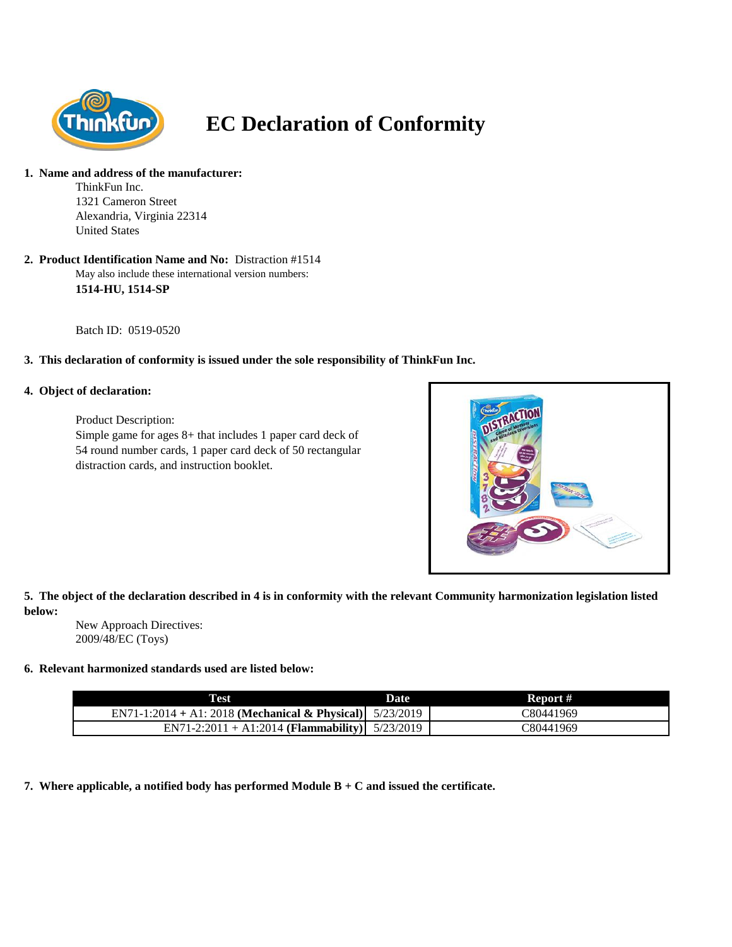

# **EC Declaration of Conformity**

#### **1. Name and address of the manufacturer:**

ThinkFun Inc. 1321 Cameron Street Alexandria, Virginia 22314 United States

May also include these international version numbers: **1514-HU, 1514-SP 2. Product Identification Name and No:** Distraction #1514

Batch ID: 0519-0520

### **3. This declaration of conformity is issued under the sole responsibility of ThinkFun Inc.**

### **4. Object of declaration:**

Product Description: Simple game for ages 8+ that includes 1 paper card deck of 54 round number cards, 1 paper card deck of 50 rectangular distraction cards, and instruction booklet.



**5. The object of the declaration described in 4 is in conformity with the relevant Community harmonization legislation listed below:**

New Approach Directives: 2009/48/EC (Toys)

#### **6. Relevant harmonized standards used are listed below:**

| Test                                                       | <b>Date</b> | Report #  |
|------------------------------------------------------------|-------------|-----------|
| EN71-1:2014 + A1: 2018 (Mechanical & Physical) $5/23/2019$ |             | 30441969  |
| EN71-2:2011 + A1:2014 (Flammability) $5/23/2019$           |             | C80441969 |

**7. Where applicable, a notified body has performed Module B + C and issued the certificate.**